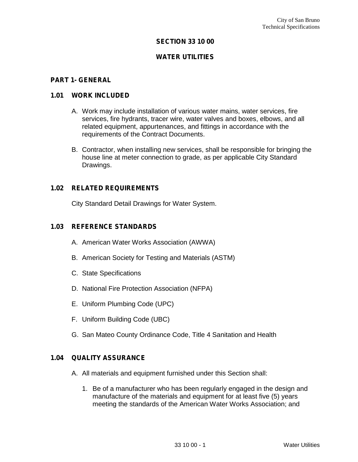### **SECTION 33 10 00**

### **WATER UTILITIES**

#### **PART 1- GENERAL**

#### **1.01 WORK INCLUDED**

- A. Work may include installation of various water mains, water services, fire services, fire hydrants, tracer wire, water valves and boxes, elbows, and all related equipment, appurtenances, and fittings in accordance with the requirements of the Contract Documents.
- B. Contractor, when installing new services, shall be responsible for bringing the house line at meter connection to grade, as per applicable City Standard Drawings.

#### **1.02 RELATED REQUIREMENTS**

City Standard Detail Drawings for Water System.

#### **1.03 REFERENCE STANDARDS**

- A. American Water Works Association (AWWA)
- B. American Society for Testing and Materials (ASTM)
- C. State Specifications
- D. National Fire Protection Association (NFPA)
- E. Uniform Plumbing Code (UPC)
- F. Uniform Building Code (UBC)
- G. San Mateo County Ordinance Code, Title 4 Sanitation and Health

### **1.04 QUALITY ASSURANCE**

- A. All materials and equipment furnished under this Section shall:
	- 1. Be of a manufacturer who has been regularly engaged in the design and manufacture of the materials and equipment for at least five (5) years meeting the standards of the American Water Works Association; and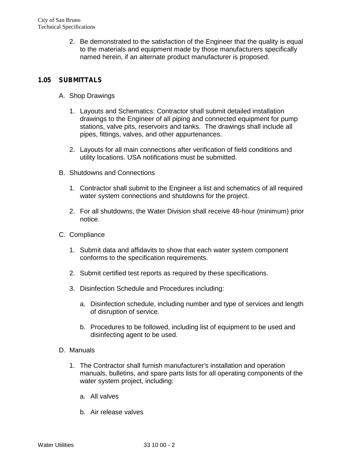2. Be demonstrated to the satisfaction of the Engineer that the quality is equal to the materials and equipment made by those manufacturers specifically named herein, if an alternate product manufacturer is proposed.

## **1.05 SUBMITTALS**

- A. Shop Drawings
	- 1. Layouts and Schematics: Contractor shall submit detailed installation drawings to the Engineer of all piping and connected equipment for pump stations, valve pits, reservoirs and tanks. The drawings shall include all pipes, fittings, valves, and other appurtenances.
	- 2. Layouts for all main connections after verification of field conditions and utility locations. USA notifications must be submitted.
- B. Shutdowns and Connections
	- 1. Contractor shall submit to the Engineer a list and schematics of all required water system connections and shutdowns for the project.
	- 2. For all shutdowns, the Water Division shall receive 48-hour (minimum) prior notice.
- C. Compliance
	- 1. Submit data and affidavits to show that each water system component conforms to the specification requirements.
	- 2. Submit certified test reports as required by these specifications.
	- 3. Disinfection Schedule and Procedures including:
		- a. Disinfection schedule, including number and type of services and length of disruption of service.
		- b. Procedures to be followed, including list of equipment to be used and disinfecting agent to be used.
- D. Manuals
	- 1. The Contractor shall furnish manufacturer's installation and operation manuals, bulletins, and spare parts lists for all operating components of the water system project, including:
		- a. All valves
		- b. Air release valves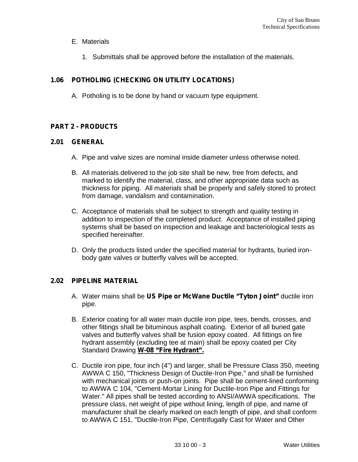- E. Materials
	- 1. Submittals shall be approved before the installation of the materials.

# **1.06 POTHOLING (CHECKING ON UTILITY LOCATIONS)**

A. Potholing is to be done by hand or vacuum type equipment.

## **PART 2 - PRODUCTS**

### **2.01 GENERAL**

- A. Pipe and valve sizes are nominal inside diameter unless otherwise noted.
- B. All materials delivered to the job site shall be new, free from defects, and marked to identify the material, class, and other appropriate data such as thickness for piping. All materials shall be properly and safely stored to protect from damage, vandalism and contamination.
- C. Acceptance of materials shall be subject to strength and quality testing in addition to inspection of the completed product. Acceptance of installed piping systems shall be based on inspection and leakage and bacteriological tests as specified hereinafter.
- D. Only the products listed under the specified material for hydrants, buried iron body gate valves or butterfly valves will be accepted.

## **2.02 PIPELINE MATERIAL**

- A. Water mains shall be **US Pipe or McWane Ductile "Tyton Joint"** ductile iron pipe.
- B. Exterior coating for all water main ductile iron pipe, tees, bends, crosses, and other fittings shall be bituminous asphalt coating. Exterior of all buried gate valves and butterfly valves shall be fusion epoxy coated. All fittings on fire hydrant assembly (excluding tee at main) shall be epoxy coated per City Standard Drawing **W-08 "Fire Hydrant".**
- C. Ductile iron pipe, four inch (4") and larger, shall be Pressure Class 350, meeting AWWA C 150, "Thickness Design of Ductile-Iron Pipe," and shall be furnished with mechanical joints or push-on joints. Pipe shall be cement-lined conforming to AWWA C 104, "Cement-Mortar Lining for Ductile-Iron Pipe and Fittings for Water." All pipes shall be tested according to ANSI/AWWA specifications. The pressure class, net weight of pipe without lining, length of pipe, and name of manufacturer shall be clearly marked on each length of pipe, and shall conform to AWWA C 151, "Ductile-Iron Pipe, Centrifugally Cast for Water and Other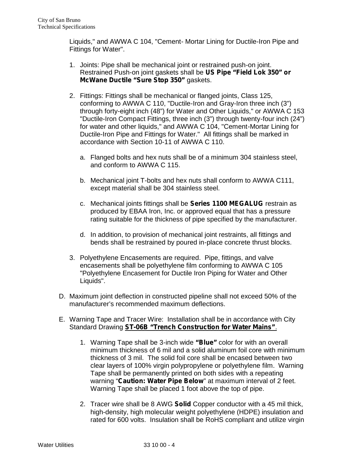Liquids," and AWWA C 104, "Cement- Mortar Lining for Ductile-Iron Pipe and Fittings for Water".

- 1. Joints: Pipe shall be mechanical joint or restrained push-on joint. Restrained Push-on joint gaskets shall be **US Pipe "Field Lok 350" or McWane Ductile "Sure Stop 350"** gaskets.
- 2. Fittings: Fittings shall be mechanical or flanged joints, Class 125, conforming to AWWA C 110, "Ductile-Iron and Gray-Iron three inch (3") through forty-eight inch (48") for Water and Other Liquids," or AWWA C 153 "Ductile-Iron Compact Fittings, three inch (3") through twenty-four inch (24") for water and other liquids," and AWWA C 104, "Cement-Mortar Lining for Ductile-Iron Pipe and Fittings for Water." All fittings shall be marked in accordance with Section 10-11 of AWWA C 110.
	- a. Flanged bolts and hex nuts shall be of a minimum 304 stainless steel, and conform to AWWA C 115.
	- b. Mechanical joint T-bolts and hex nuts shall conform to AWWA C111, except material shall be 304 stainless steel.
	- c. Mechanical joints fittings shall be **Series 1100 MEGALUG** restrain as produced by EBAA Iron, Inc. or approved equal that has a pressure rating suitable for the thickness of pipe specified by the manufacturer.
	- d. In addition, to provision of mechanical joint restraints, all fittings and bends shall be restrained by poured in-place concrete thrust blocks.
- 3. Polyethylene Encasements are required. Pipe, fittings, and valve encasements shall be polyethylene film conforming to AWWA C 105 "Polyethylene Encasement for Ductile Iron Piping for Water and Other Liquids".
- D. Maximum joint deflection in constructed pipeline shall not exceed 50% of the manufacturer's recommended maximum deflections.
- E. Warning Tape and Tracer Wire: Installation shall be in accordance with City Standard Drawing **ST-06B "Trench Construction for Water Mains"**.
	- 1. Warning Tape shall be 3-inch wide **"Blue"** color for with an overall minimum thickness of 6 mil and a solid aluminum foil core with minimum thickness of 3 mil. The solid foil core shall be encased between two clear layers of 100% virgin polypropylene or polyethylene film. Warning Tape shall be permanently printed on both sides with a repeating warning "**Caution: Water Pipe Below**" at maximum interval of 2 feet. Warning Tape shall be placed 1 foot above the top of pipe.
	- 2. Tracer wire shall be 8 AWG **Solid** Copper conductor with a 45 mil thick, high-density, high molecular weight polyethylene (HDPE) insulation and rated for 600 volts. Insulation shall be RoHS compliant and utilize virgin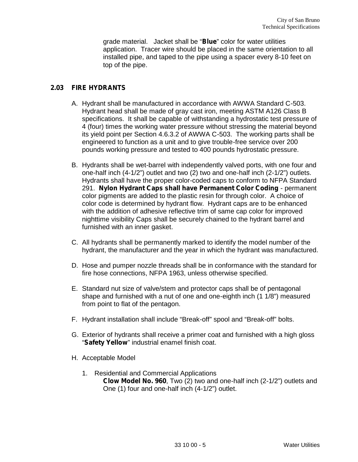grade material. Jacket shall be "**Blue**" color for water utilities application. Tracer wire should be placed in the same orientation to all installed pipe, and taped to the pipe using a spacer every 8-10 feet on top of the pipe.

## **2.03 FIRE HYDRANTS**

- A. Hydrant shall be manufactured in accordance with AWWA Standard C-503. Hydrant head shall be made of gray cast iron, meeting ASTM A126 Class B specifications. It shall be capable of withstanding a hydrostatic test pressure of 4 (four) times the working water pressure without stressing the material beyond its yield point per Section 4.6.3.2 of AWWA C-503. The working parts shall be engineered to function as a unit and to give trouble-free service over 200 pounds working pressure and tested to 400 pounds hydrostatic pressure.
- B. Hydrants shall be wet-barrel with independently valved ports, with one four and one-half inch (4-1/2") outlet and two (2) two and one-half inch (2-1/2") outlets. Hydrants shall have the proper color-coded caps to conform to NFPA Standard 291. **Nylon Hydrant Caps shall have Permanent Color Coding** - permanent color pigments are added to the plastic resin for through color. A choice of color code is determined by hydrant flow. Hydrant caps are to be enhanced with the addition of adhesive reflective trim of same cap color for improved nighttime visibility Caps shall be securely chained to the hydrant barrel and furnished with an inner gasket.
- C. All hydrants shall be permanently marked to identify the model number of the hydrant, the manufacturer and the year in which the hydrant was manufactured.
- D. Hose and pumper nozzle threads shall be in conformance with the standard for fire hose connections, NFPA 1963, unless otherwise specified.
- E. Standard nut size of valve/stem and protector caps shall be of pentagonal shape and furnished with a nut of one and one-eighth inch (1 1/8") measured from point to flat of the pentagon.
- F. Hydrant installation shall include "Break-off" spool and "Break-off" bolts.
- G. Exterior of hydrants shall receive a primer coat and furnished with a high gloss "**Safety Yellow**" industrial enamel finish coat.
- H. Acceptable Model
	- 1. Residential and Commercial Applications **Clow Model No. 960**, Two (2) two and one-half inch (2-1/2") outlets and One (1) four and one-half inch (4-1/2") outlet.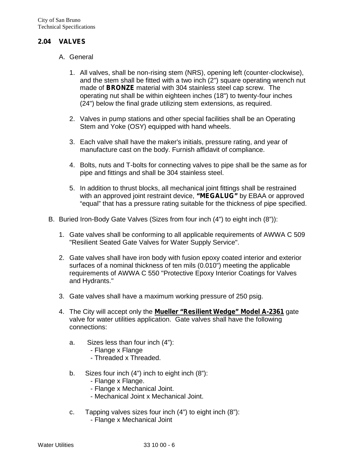### **2.04 VALVES**

- A. General
	- 1. All valves, shall be non-rising stem (NRS), opening left (counter-clockwise), and the stem shall be fitted with a two inch (2") square operating wrench nut made of **BRONZE** material with 304 stainless steel cap screw. The operating nut shall be within eighteen inches (18") to twenty-four inches (24") below the final grade utilizing stem extensions, as required.
	- 2. Valves in pump stations and other special facilities shall be an Operating Stem and Yoke (OSY) equipped with hand wheels.
	- 3. Each valve shall have the maker's initials, pressure rating, and year of manufacture cast on the body. Furnish affidavit of compliance.
	- 4. Bolts, nuts and T-bolts for connecting valves to pipe shall be the same as for pipe and fittings and shall be 304 stainless steel.
	- 5. In addition to thrust blocks, all mechanical joint fittings shall be restrained with an approved joint restraint device, **"MEGALUG"** by EBAA or approved "equal" that has a pressure rating suitable for the thickness of pipe specified.
- B. Buried Iron-Body Gate Valves (Sizes from four inch (4") to eight inch (8")):
	- 1. Gate valves shall be conforming to all applicable requirements of AWWA C 509 "Resilient Seated Gate Valves for Water Supply Service".
	- 2. Gate valves shall have iron body with fusion epoxy coated interior and exterior surfaces of a nominal thickness of ten mils (0.010") meeting the applicable requirements of AWWA C 550 "Protective Epoxy Interior Coatings for Valves and Hydrants."
	- 3. Gate valves shall have a maximum working pressure of 250 psig.
	- 4. The City will accept only the **Mueller "Resilient Wedge" Model A-2361** gate valve for water utilities application. Gate valves shall have the following connections:
		- a. Sizes less than four inch (4"):
			- Flange x Flange
			- Threaded x Threaded.
		- b. Sizes four inch (4") inch to eight inch (8"):
			- Flange x Flange.
			- Flange x Mechanical Joint.
			- Mechanical Joint x Mechanical Joint.
		- c. Tapping valves sizes four inch (4") to eight inch (8"): - Flange x Mechanical Joint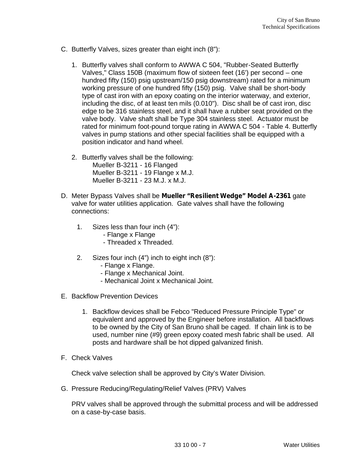- C. Butterfly Valves, sizes greater than eight inch (8"):
	- 1. Butterfly valves shall conform to AWWA C 504, "Rubber-Seated Butterfly Valves," Class 150B (maximum flow of sixteen feet (16') per second – one hundred fifty (150) psig upstream/150 psig downstream) rated for a minimum working pressure of one hundred fifty (150) psig. Valve shall be short-body type of cast iron with an epoxy coating on the interior waterway, and exterior, including the disc, of at least ten mils (0.010"). Disc shall be of cast iron, disc edge to be 316 stainless steel, and it shall have a rubber seat provided on the valve body. Valve shaft shall be Type 304 stainless steel. Actuator must be rated for minimum foot-pound torque rating in AWWA C 504 - Table 4. Butterfly valves in pump stations and other special facilities shall be equipped with a position indicator and hand wheel.
	- 2. Butterfly valves shall be the following: Mueller B-3211 - 16 Flanged Mueller B-3211 - 19 Flange x M.J. Mueller B-3211 - 23 M.J. x M.J.
- D. Meter Bypass Valves shall be **Mueller "Resilient Wedge" Model A-2361** gate valve for water utilities application. Gate valves shall have the following connections:
	- 1. Sizes less than four inch (4"):
		- Flange x Flange
		- Threaded x Threaded.
	- 2. Sizes four inch (4") inch to eight inch (8"):
		- Flange x Flange.
		- Flange x Mechanical Joint.
		- Mechanical Joint x Mechanical Joint.
- E. Backflow Prevention Devices
	- 1. Backflow devices shall be Febco "Reduced Pressure Principle Type" or equivalent and approved by the Engineer before installation. All backflows to be owned by the City of San Bruno shall be caged. If chain link is to be used, number nine (#9) green epoxy coated mesh fabric shall be used. All posts and hardware shall be hot dipped galvanized finish.
- F. Check Valves

Check valve selection shall be approved by City's Water Division.

G. Pressure Reducing/Regulating/Relief Valves (PRV) Valves

PRV valves shall be approved through the submittal process and will be addressed on a case-by-case basis.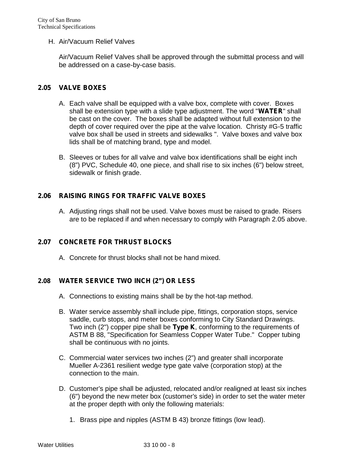#### H. Air/Vacuum Relief Valves

Air/Vacuum Relief Valves shall be approved through the submittal process and will be addressed on a case-by-case basis.

### **2.05 VALVE BOXES**

- A. Each valve shall be equipped with a valve box, complete with cover. Boxes shall be extension type with a slide type adjustment. The word "**WATER**" shall be cast on the cover. The boxes shall be adapted without full extension to the depth of cover required over the pipe at the valve location. Christy #G-5 traffic valve box shall be used in streets and sidewalks ". Valve boxes and valve box lids shall be of matching brand, type and model.
- B. Sleeves or tubes for all valve and valve box identifications shall be eight inch (8") PVC, Schedule 40, one piece, and shall rise to six inches (6") below street, sidewalk or finish grade.

### **2.06 RAISING RINGS FOR TRAFFIC VALVE BOXES**

A. Adjusting rings shall not be used. Valve boxes must be raised to grade. Risers are to be replaced if and when necessary to comply with Paragraph 2.05 above.

### **2.07 CONCRETE FOR THRUST BLOCKS**

A. Concrete for thrust blocks shall not be hand mixed.

### **2.08 WATER SERVICE TWO INCH (2") OR LESS**

- A. Connections to existing mains shall be by the hot-tap method.
- B. Water service assembly shall include pipe, fittings, corporation stops, service saddle, curb stops, and meter boxes conforming to City Standard Drawings. Two inch (2") copper pipe shall be **Type K**, conforming to the requirements of ASTM B 88, "Specification for Seamless Copper Water Tube." Copper tubing shall be continuous with no joints.
- C. Commercial water services two inches (2") and greater shall incorporate Mueller A-2361 resilient wedge type gate valve (corporation stop) at the connection to the main.
- D. Customer's pipe shall be adjusted, relocated and/or realigned at least six inches (6") beyond the new meter box (customer's side) in order to set the water meter at the proper depth with only the following materials:
	- 1. Brass pipe and nipples (ASTM B 43) bronze fittings (low lead).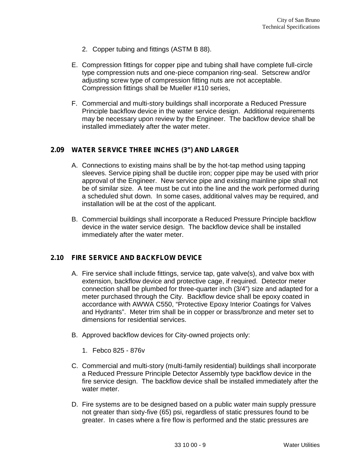- 2. Copper tubing and fittings (ASTM B 88).
- E. Compression fittings for copper pipe and tubing shall have complete full-circle type compression nuts and one-piece companion ring-seal. Setscrew and/or adjusting screw type of compression fitting nuts are not acceptable. Compression fittings shall be Mueller #110 series,
- F. Commercial and multi-story buildings shall incorporate a Reduced Pressure Principle backflow device in the water service design. Additional requirements may be necessary upon review by the Engineer. The backflow device shall be installed immediately after the water meter.

### **2.09 WATER SERVICE THREE INCHES (3") AND LARGER**

- A. Connections to existing mains shall be by the hot-tap method using tapping sleeves. Service piping shall be ductile iron; copper pipe may be used with prior approval of the Engineer. New service pipe and existing mainline pipe shall not be of similar size. A tee must be cut into the line and the work performed during a scheduled shut down. In some cases, additional valves may be required, and installation will be at the cost of the applicant.
- B. Commercial buildings shall incorporate a Reduced Pressure Principle backflow device in the water service design. The backflow device shall be installed immediately after the water meter.

## **2.10 FIRE SERVICE AND BACKFLOW DEVICE**

- A. Fire service shall include fittings, service tap, gate valve(s), and valve box with extension, backflow device and protective cage, if required. Detector meter connection shall be plumbed for three-quarter inch (3/4") size and adapted for a meter purchased through the City. Backflow device shall be epoxy coated in accordance with AWWA C550, "Protective Epoxy Interior Coatings for Valves and Hydrants". Meter trim shall be in copper or brass/bronze and meter set to dimensions for residential services.
- B. Approved backflow devices for City-owned projects only:
	- 1. Febco 825 876v
- C. Commercial and multi-story (multi-family residential) buildings shall incorporate a Reduced Pressure Principle Detector Assembly type backflow device in the fire service design. The backflow device shall be installed immediately after the water meter.
- D. Fire systems are to be designed based on a public water main supply pressure not greater than sixty-five (65) psi, regardless of static pressures found to be greater. In cases where a fire flow is performed and the static pressures are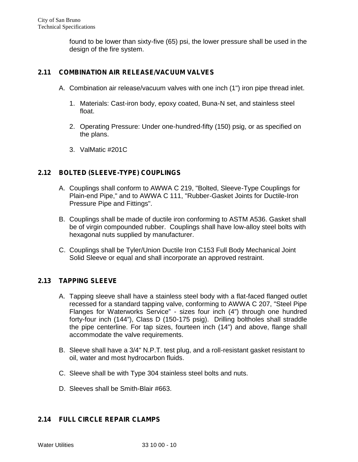found to be lower than sixty-five (65) psi, the lower pressure shall be used in the design of the fire system.

# **2.11 COMBINATION AIR RELEASE/VACUUM VALVES**

- A. Combination air release/vacuum valves with one inch (1") iron pipe thread inlet.
	- 1. Materials: Cast-iron body, epoxy coated, Buna-N set, and stainless steel float.
	- 2. Operating Pressure: Under one-hundred-fifty (150) psig, or as specified on the plans.
	- 3. ValMatic #201C

## **2.12 BOLTED (SLEEVE-TYPE) COUPLINGS**

- A. Couplings shall conform to AWWA C 219, "Bolted, Sleeve-Type Couplings for Plain-end Pipe," and to AWWA C 111, "Rubber-Gasket Joints for Ductile-Iron Pressure Pipe and Fittings".
- B. Couplings shall be made of ductile iron conforming to ASTM A536. Gasket shall be of virgin compounded rubber. Couplings shall have low-alloy steel bolts with hexagonal nuts supplied by manufacturer.
- C. Couplings shall be Tyler/Union Ductile Iron C153 Full Body Mechanical Joint Solid Sleeve or equal and shall incorporate an approved restraint.

## **2.13 TAPPING SLEEVE**

- A. Tapping sleeve shall have a stainless steel body with a flat-faced flanged outlet recessed for a standard tapping valve, conforming to AWWA C 207, "Steel Pipe Flanges for Waterworks Service" - sizes four inch (4") through one hundred forty-four inch (144"), Class D (150-175 psig). Drilling boltholes shall straddle the pipe centerline. For tap sizes, fourteen inch (14") and above, flange shall accommodate the valve requirements.
- B. Sleeve shall have a 3/4" N.P.T. test plug, and a roll-resistant gasket resistant to oil, water and most hydrocarbon fluids.
- C. Sleeve shall be with Type 304 stainless steel bolts and nuts.
- D. Sleeves shall be Smith-Blair #663.

## **2.14 FULL CIRCLE REPAIR CLAMPS**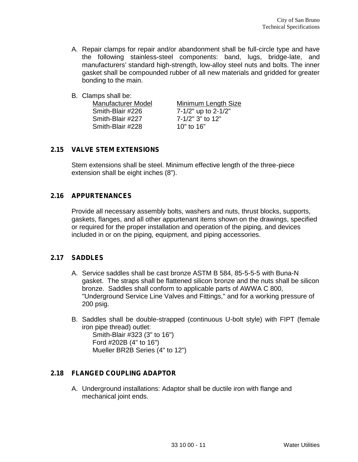- A. Repair clamps for repair and/or abandonment shall be full-circle type and have the following stainless-steel components: band, lugs, bridge-late, and manufacturers' standard high-strength, low-alloy steel nuts and bolts. The inner gasket shall be compounded rubber of all new materials and gridded for greater bonding to the main.
- B. Clamps shall be:

| Manufacturer Model | Minimum Length Size |
|--------------------|---------------------|
| Smith-Blair #226   | 7-1/2" up to 2-1/2" |
| Smith-Blair #227   | 7-1/2" 3" to 12"    |
| Smith-Blair #228   | 10" to $16"$        |

### **2.15 VALVE STEM EXTENSIONS**

Stem extensions shall be steel. Minimum effective length of the three-piece extension shall be eight inches (8").

### **2.16 APPURTENANCES**

Provide all necessary assembly bolts, washers and nuts, thrust blocks, supports, gaskets, flanges, and all other appurtenant items shown on the drawings, specified or required for the proper installation and operation of the piping, and devices included in or on the piping, equipment, and piping accessories.

### **2.17 SADDLES**

- A. Service saddles shall be cast bronze ASTM B 584, 85-5-5-5 with Buna-N gasket. The straps shall be flattened silicon bronze and the nuts shall be silicon bronze. Saddles shall conform to applicable parts of AWWA C 800, "Underground Service Line Valves and Fittings," and for a working pressure of 200 psig.
- B. Saddles shall be double-strapped (continuous U-bolt style) with FIPT (female iron pipe thread) outlet:

Smith-Blair #323 (3" to 16") Ford #202B (4" to 16") Mueller BR2B Series (4" to 12")

## **2.18 FLANGED COUPLING ADAPTOR**

A. Underground installations: Adaptor shall be ductile iron with flange and mechanical joint ends.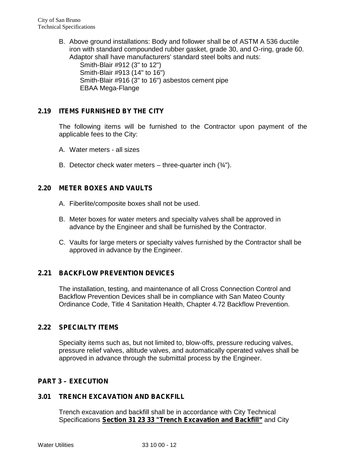B. Above ground installations: Body and follower shall be of ASTM A 536 ductile iron with standard compounded rubber gasket, grade 30, and O-ring, grade 60. Adaptor shall have manufacturers' standard steel bolts and nuts: Smith-Blair #912 (3" to 12") Smith-Blair #913 (14" to 16") Smith-Blair #916 (3" to 16") asbestos cement pipe

EBAA Mega-Flange

# **2.19 ITEMS FURNISHED BY THE CITY**

The following items will be furnished to the Contractor upon payment of the applicable fees to the City:

- A. Water meters all sizes
- B. Detector check water meters three-quarter inch  $(34^{\circ})$ .

## **2.20 METER BOXES AND VAULTS**

- A. Fiberlite/composite boxes shall not be used.
- B. Meter boxes for water meters and specialty valves shall be approved in advance by the Engineer and shall be furnished by the Contractor.
- C. Vaults for large meters or specialty valves furnished by the Contractor shall be approved in advance by the Engineer.

## **2.21 BACKFLOW PREVENTION DEVICES**

The installation, testing, and maintenance of all Cross Connection Control and Backflow Prevention Devices shall be in compliance with San Mateo County Ordinance Code, Title 4 Sanitation Health, Chapter 4.72 Backflow Prevention.

### **2.22 SPECIALTY ITEMS**

Specialty items such as, but not limited to, blow-offs, pressure reducing valves, pressure relief valves, altitude valves, and automatically operated valves shall be approved in advance through the submittal process by the Engineer.

### **PART 3 – EXECUTION**

### **3.01 TRENCH EXCAVATION AND BACKFILL**

Trench excavation and backfill shall be in accordance with City Technical Specifications **Section 31 23 33 "Trench Excavation and Backfill"** and City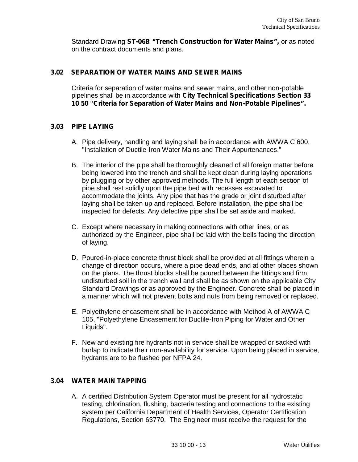Standard Drawing **ST-06B "Trench Construction for Water Mains",** or as noted on the contract documents and plans.

### **3.02 SEPARATION OF WATER MAINS AND SEWER MAINS**

Criteria for separation of water mains and sewer mains, and other non-potable pipelines shall be in accordance with **City Technical Specifications Section 33 10 50 "Criteria for Separation of Water Mains and Non-Potable Pipelines".**

### **3.03 PIPE LAYING**

- A. Pipe delivery, handling and laying shall be in accordance with AWWA C 600, "Installation of Ductile-Iron Water Mains and Their Appurtenances."
- B. The interior of the pipe shall be thoroughly cleaned of all foreign matter before being lowered into the trench and shall be kept clean during laying operations by plugging or by other approved methods. The full length of each section of pipe shall rest solidly upon the pipe bed with recesses excavated to accommodate the joints. Any pipe that has the grade or joint disturbed after laying shall be taken up and replaced. Before installation, the pipe shall be inspected for defects. Any defective pipe shall be set aside and marked.
- C. Except where necessary in making connections with other lines, or as authorized by the Engineer, pipe shall be laid with the bells facing the direction of laying.
- D. Poured-in-place concrete thrust block shall be provided at all fittings wherein a change of direction occurs, where a pipe dead ends, and at other places shown on the plans. The thrust blocks shall be poured between the fittings and firm undisturbed soil in the trench wall and shall be as shown on the applicable City Standard Drawings or as approved by the Engineer. Concrete shall be placed in a manner which will not prevent bolts and nuts from being removed or replaced.
- E. Polyethylene encasement shall be in accordance with Method A of AWWA C 105, "Polyethylene Encasement for Ductile-Iron Piping for Water and Other Liquids".
- F. New and existing fire hydrants not in service shall be wrapped or sacked with burlap to indicate their non-availability for service. Upon being placed in service, hydrants are to be flushed per NFPA 24.

### **3.04 WATER MAIN TAPPING**

A. A certified Distribution System Operator must be present for all hydrostatic testing, chlorination, flushing, bacteria testing and connections to the existing system per California Department of Health Services, Operator Certification Regulations, Section 63770. The Engineer must receive the request for the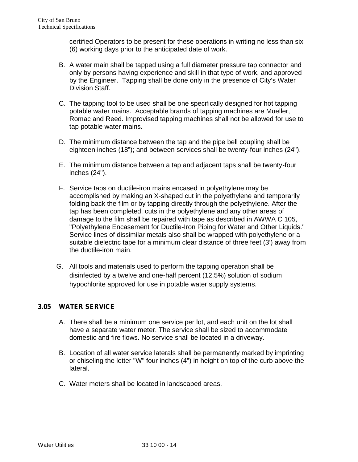certified Operators to be present for these operations in writing no less than six (6) working days prior to the anticipated date of work.

- B. A water main shall be tapped using a full diameter pressure tap connector and only by persons having experience and skill in that type of work, and approved by the Engineer. Tapping shall be done only in the presence of City's Water Division Staff.
- C. The tapping tool to be used shall be one specifically designed for hot tapping potable water mains. Acceptable brands of tapping machines are Mueller, Romac and Reed. Improvised tapping machines shall not be allowed for use to tap potable water mains.
- D. The minimum distance between the tap and the pipe bell coupling shall be eighteen inches (18"); and between services shall be twenty-four inches (24").
- E. The minimum distance between a tap and adjacent taps shall be twenty-four inches (24").
- F. Service taps on ductile-iron mains encased in polyethylene may be accomplished by making an X-shaped cut in the polyethylene and temporarily folding back the film or by tapping directly through the polyethylene. After the tap has been completed, cuts in the polyethylene and any other areas of damage to the film shall be repaired with tape as described in AWWA C 105, "Polyethylene Encasement for Ductile-Iron Piping for Water and Other Liquids." Service lines of dissimilar metals also shall be wrapped with polyethylene or a suitable dielectric tape for a minimum clear distance of three feet (3') away from the ductile-iron main.
- G. All tools and materials used to perform the tapping operation shall be disinfected by a twelve and one-half percent (12.5%) solution of sodium hypochlorite approved for use in potable water supply systems.

## **3.05 WATER SERVICE**

- A. There shall be a minimum one service per lot, and each unit on the lot shall have a separate water meter. The service shall be sized to accommodate domestic and fire flows. No service shall be located in a driveway.
- B. Location of all water service laterals shall be permanently marked by imprinting or chiseling the letter "W" four inches (4") in height on top of the curb above the lateral.
- C. Water meters shall be located in landscaped areas.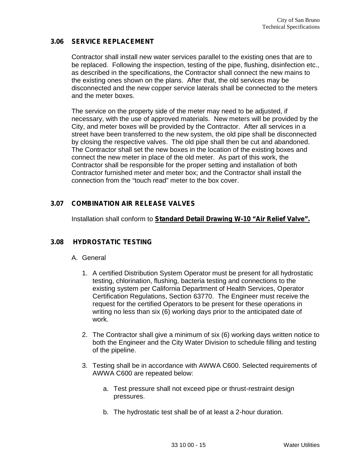### **3.06 SERVICE REPLACEMENT**

Contractor shall install new water services parallel to the existing ones that are to be replaced. Following the inspection, testing of the pipe, flushing, disinfection etc., as described in the specifications, the Contractor shall connect the new mains to the existing ones shown on the plans. After that, the old services may be disconnected and the new copper service laterals shall be connected to the meters and the meter boxes.

The service on the property side of the meter may need to be adjusted, if necessary, with the use of approved materials. New meters will be provided by the City, and meter boxes will be provided by the Contractor. After all services in a street have been transferred to the new system, the old pipe shall be disconnected by closing the respective valves. The old pipe shall then be cut and abandoned. The Contractor shall set the new boxes in the location of the existing boxes and connect the new meter in place of the old meter. As part of this work, the Contractor shall be responsible for the proper setting and installation of both Contractor furnished meter and meter box; and the Contractor shall install the connection from the "touch read" meter to the box cover.

# **3.07 COMBINATION AIR RELEASE VALVES**

Installation shall conform to **Standard Detail Drawing W-10 "Air Relief Valve".**

## **3.08 HYDROSTATIC TESTING**

### A. General

- 1. A certified Distribution System Operator must be present for all hydrostatic testing, chlorination, flushing, bacteria testing and connections to the existing system per California Department of Health Services, Operator Certification Regulations, Section 63770. The Engineer must receive the request for the certified Operators to be present for these operations in writing no less than six (6) working days prior to the anticipated date of work.
- 2. The Contractor shall give a minimum of six (6) working days written notice to both the Engineer and the City Water Division to schedule filling and testing of the pipeline.
- 3. Testing shall be in accordance with AWWA C600. Selected requirements of AWWA C600 are repeated below:
	- a. Test pressure shall not exceed pipe or thrust-restraint design pressures.
	- b. The hydrostatic test shall be of at least a 2-hour duration.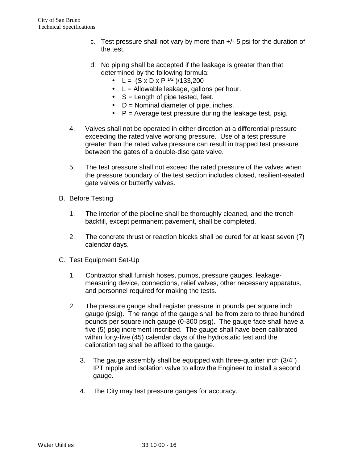- c. Test pressure shall not vary by more than  $+/-$  5 psi for the duration of the test.
- d. No piping shall be accepted if the leakage is greater than that determined by the following formula:
	- L =  $(S \times D \times P^{1/2})/133,200$
	- L = Allowable leakage, gallons per hour.
	- $\int$  S = Length of pipe tested, feet.
	- $\bigcup$  D = Nominal diameter of pipe, inches.
	- $\Box$  P = Average test pressure during the leakage test, psig.
- 4. Valves shall not be operated in either direction at a differential pressure exceeding the rated valve working pressure. Use of a test pressure greater than the rated valve pressure can result in trapped test pressure between the gates of a double-disc gate valve.
- 5. The test pressure shall not exceed the rated pressure of the valves when the pressure boundary of the test section includes closed, resilient-seated gate valves or butterfly valves.
- B. Before Testing
	- 1. The interior of the pipeline shall be thoroughly cleaned, and the trench backfill, except permanent pavement, shall be completed.
	- 2. The concrete thrust or reaction blocks shall be cured for at least seven (7) calendar days.
- C. Test Equipment Set-Up
	- 1. Contractor shall furnish hoses, pumps, pressure gauges, leakage measuring device, connections, relief valves, other necessary apparatus, and personnel required for making the tests.
	- 2. The pressure gauge shall register pressure in pounds per square inch gauge (psig). The range of the gauge shall be from zero to three hundred pounds per square inch gauge (0-300 psig). The gauge face shall have a five (5) psig increment inscribed. The gauge shall have been calibrated within forty-five (45) calendar days of the hydrostatic test and the calibration tag shall be affixed to the gauge.
		- 3. The gauge assembly shall be equipped with three-quarter inch (3/4") IPT nipple and isolation valve to allow the Engineer to install a second gauge.
		- 4. The City may test pressure gauges for accuracy.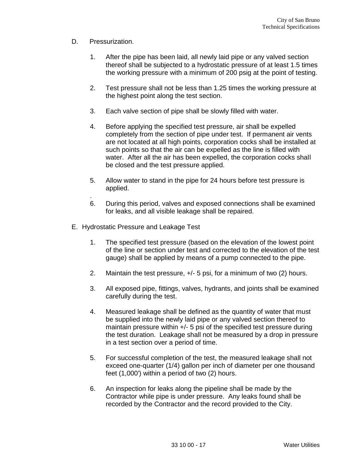- D. Pressurization.
	- 1. After the pipe has been laid, all newly laid pipe or any valved section thereof shall be subjected to a hydrostatic pressure of at least 1.5 times the working pressure with a minimum of 200 psig at the point of testing.
	- 2. Test pressure shall not be less than 1.25 times the working pressure at the highest point along the test section.
	- 3. Each valve section of pipe shall be slowly filled with water.
	- 4. Before applying the specified test pressure, air shall be expelled completely from the section of pipe under test. If permanent air vents are not located at all high points, corporation cocks shall be installed at such points so that the air can be expelled as the line is filled with water. After all the air has been expelled, the corporation cocks shall be closed and the test pressure applied.
	- 5. Allow water to stand in the pipe for 24 hours before test pressure is applied.
	- .6. During this period, valves and exposed connections shall be examined for leaks, and all visible leakage shall be repaired.
- E. Hydrostatic Pressure and Leakage Test
	- 1. The specified test pressure (based on the elevation of the lowest point of the line or section under test and corrected to the elevation of the test gauge) shall be applied by means of a pump connected to the pipe.
	- 2. Maintain the test pressure, +/- 5 psi, for a minimum of two (2) hours.
	- 3. All exposed pipe, fittings, valves, hydrants, and joints shall be examined carefully during the test.
	- 4. Measured leakage shall be defined as the quantity of water that must be supplied into the newly laid pipe or any valved section thereof to maintain pressure within +/- 5 psi of the specified test pressure during the test duration. Leakage shall not be measured by a drop in pressure in a test section over a period of time.
	- 5. For successful completion of the test, the measured leakage shall not exceed one-quarter (1/4) gallon per inch of diameter per one thousand feet (1,000') within a period of two (2) hours.
	- 6. An inspection for leaks along the pipeline shall be made by the Contractor while pipe is under pressure. Any leaks found shall be recorded by the Contractor and the record provided to the City.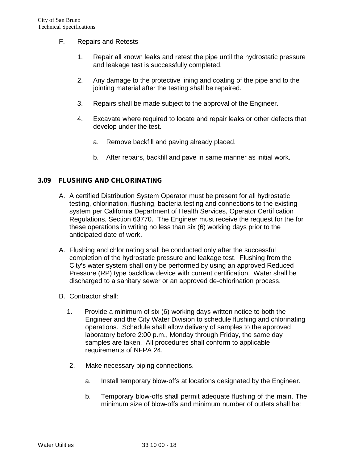- F. Repairs and Retests
	- 1. Repair all known leaks and retest the pipe until the hydrostatic pressure and leakage test is successfully completed.
	- 2. Any damage to the protective lining and coating of the pipe and to the jointing material after the testing shall be repaired.
	- 3. Repairs shall be made subject to the approval of the Engineer.
	- 4. Excavate where required to locate and repair leaks or other defects that develop under the test.
		- a. Remove backfill and paving already placed.
		- b. After repairs, backfill and pave in same manner as initial work.

### **3.09 FLUSHING AND CHLORINATING**

- A. A certified Distribution System Operator must be present for all hydrostatic testing, chlorination, flushing, bacteria testing and connections to the existing system per California Department of Health Services, Operator Certification Regulations, Section 63770. The Engineer must receive the request for the for these operations in writing no less than six (6) working days prior to the anticipated date of work.
- A. Flushing and chlorinating shall be conducted only after the successful completion of the hydrostatic pressure and leakage test. Flushing from the City's water system shall only be performed by using an approved Reduced Pressure (RP) type backflow device with current certification. Water shall be discharged to a sanitary sewer or an approved de-chlorination process.
- B. Contractor shall:
	- 1. Provide a minimum of six (6) working days written notice to both the Engineer and the City Water Division to schedule flushing and chlorinating operations. Schedule shall allow delivery of samples to the approved laboratory before 2:00 p.m., Monday through Friday, the same day samples are taken. All procedures shall conform to applicable requirements of NFPA 24.
	- 2. Make necessary piping connections.
		- a. Install temporary blow-offs at locations designated by the Engineer.
		- b. Temporary blow-offs shall permit adequate flushing of the main. The minimum size of blow-offs and minimum number of outlets shall be: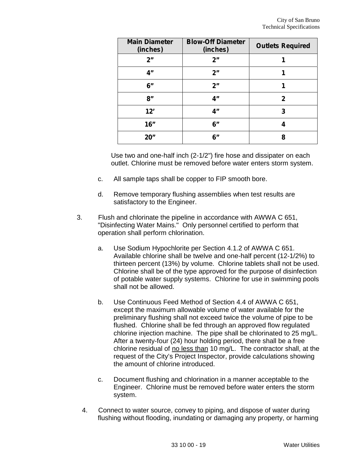| <b>Main Diameter</b><br>(inches) | <b>Blow-Off Diameter</b><br>(inches) | <b>Outlets Required</b> |
|----------------------------------|--------------------------------------|-------------------------|
| 2"                               | 2"                                   |                         |
| 4"                               | 2"                                   |                         |
| 6"                               | 2"                                   |                         |
| 8"                               | 4"                                   | 2                       |
| 12'                              | 4"                                   | 3                       |
| 16"                              | 6"                                   |                         |
| 20"                              | 6"                                   | 8                       |

Use two and one-half inch (2-1/2") fire hose and dissipater on each outlet. Chlorine must be removed before water enters storm system.

- c. All sample taps shall be copper to FIP smooth bore.
- d. Remove temporary flushing assemblies when test results are satisfactory to the Engineer.
- 3. Flush and chlorinate the pipeline in accordance with AWWA C 651, "Disinfecting Water Mains." Only personnel certified to perform that operation shall perform chlorination.
	- a. Use Sodium Hypochlorite per Section 4.1.2 of AWWA C 651. Available chlorine shall be twelve and one-half percent (12-1/2%) to thirteen percent (13%) by volume. Chlorine tablets shall not be used. Chlorine shall be of the type approved for the purpose of disinfection of potable water supply systems. Chlorine for use in swimming pools shall not be allowed.
	- b. Use Continuous Feed Method of Section 4.4 of AWWA C 651, except the maximum allowable volume of water available for the preliminary flushing shall not exceed twice the volume of pipe to be flushed. Chlorine shall be fed through an approved flow regulated chlorine injection machine. The pipe shall be chlorinated to 25 mg/L. After a twenty-four (24) hour holding period, there shall be a free chlorine residual of no less than 10 mg/L. The contractor shall, at the request of the City's Project Inspector, provide calculations showing the amount of chlorine introduced.
	- c. Document flushing and chlorination in a manner acceptable to the Engineer. Chlorine must be removed before water enters the storm system.
	- 4. Connect to water source, convey to piping, and dispose of water during flushing without flooding, inundating or damaging any property, or harming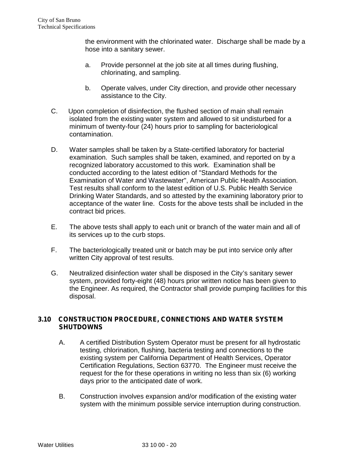the environment with the chlorinated water. Discharge shall be made by a hose into a sanitary sewer.

- a. Provide personnel at the job site at all times during flushing, chlorinating, and sampling.
- b. Operate valves, under City direction, and provide other necessary assistance to the City.
- C. Upon completion of disinfection, the flushed section of main shall remain isolated from the existing water system and allowed to sit undisturbed for a minimum of twenty-four (24) hours prior to sampling for bacteriological contamination.
- D. Water samples shall be taken by a State-certified laboratory for bacterial examination. Such samples shall be taken, examined, and reported on by a recognized laboratory accustomed to this work. Examination shall be conducted according to the latest edition of "Standard Methods for the Examination of Water and Wastewater", American Public Health Association. Test results shall conform to the latest edition of U.S. Public Health Service Drinking Water Standards, and so attested by the examining laboratory prior to acceptance of the water line. Costs for the above tests shall be included in the contract bid prices.
- E. The above tests shall apply to each unit or branch of the water main and all of its services up to the curb stops.
- F. The bacteriologically treated unit or batch may be put into service only after written City approval of test results.
- G. Neutralized disinfection water shall be disposed in the City's sanitary sewer system, provided forty-eight (48) hours prior written notice has been given to the Engineer. As required, the Contractor shall provide pumping facilities for this disposal.

## **3.10 CONSTRUCTION PROCEDURE, CONNECTIONS AND WATER SYSTEM SHUTDOWNS**

- A. A certified Distribution System Operator must be present for all hydrostatic testing, chlorination, flushing, bacteria testing and connections to the existing system per California Department of Health Services, Operator Certification Regulations, Section 63770. The Engineer must receive the request for the for these operations in writing no less than six (6) working days prior to the anticipated date of work.
- B. Construction involves expansion and/or modification of the existing water system with the minimum possible service interruption during construction.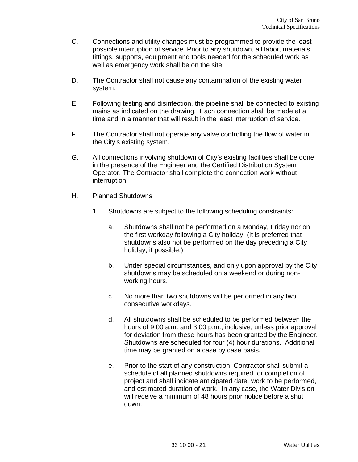- C. Connections and utility changes must be programmed to provide the least possible interruption of service. Prior to any shutdown, all labor, materials, fittings, supports, equipment and tools needed for the scheduled work as well as emergency work shall be on the site.
- D. The Contractor shall not cause any contamination of the existing water system.
- E. Following testing and disinfection, the pipeline shall be connected to existing mains as indicated on the drawing. Each connection shall be made at a time and in a manner that will result in the least interruption of service.
- F. The Contractor shall not operate any valve controlling the flow of water in the City's existing system.
- G. All connections involving shutdown of City's existing facilities shall be done in the presence of the Engineer and the Certified Distribution System Operator. The Contractor shall complete the connection work without interruption.
- H. Planned Shutdowns
	- 1. Shutdowns are subject to the following scheduling constraints:
		- a. Shutdowns shall not be performed on a Monday, Friday nor on the first workday following a City holiday. (It is preferred that shutdowns also not be performed on the day preceding a City holiday, if possible.)
		- b. Under special circumstances, and only upon approval by the City, shutdowns may be scheduled on a weekend or during non working hours.
		- c. No more than two shutdowns will be performed in any two consecutive workdays.
		- d. All shutdowns shall be scheduled to be performed between the hours of 9:00 a.m. and 3:00 p.m., inclusive, unless prior approval for deviation from these hours has been granted by the Engineer. Shutdowns are scheduled for four (4) hour durations. Additional time may be granted on a case by case basis.
		- e. Prior to the start of any construction, Contractor shall submit a schedule of all planned shutdowns required for completion of project and shall indicate anticipated date, work to be performed, and estimated duration of work. In any case, the Water Division will receive a minimum of 48 hours prior notice before a shut down.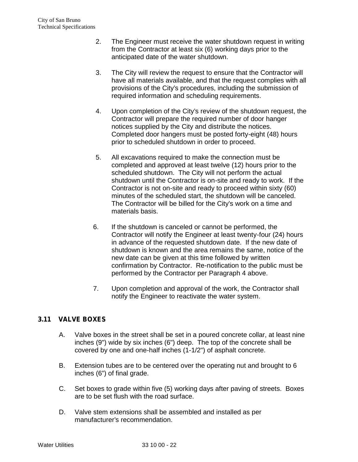- 2. The Engineer must receive the water shutdown request in writing from the Contractor at least six (6) working days prior to the anticipated date of the water shutdown.
- 3. The City will review the request to ensure that the Contractor will have all materials available, and that the request complies with all provisions of the City's procedures, including the submission of required information and scheduling requirements.
- 4. Upon completion of the City's review of the shutdown request, the Contractor will prepare the required number of door hanger notices supplied by the City and distribute the notices. Completed door hangers must be posted forty-eight (48) hours prior to scheduled shutdown in order to proceed.
- 5. All excavations required to make the connection must be completed and approved at least twelve (12) hours prior to the scheduled shutdown. The City will not perform the actual shutdown until the Contractor is on-site and ready to work. If the Contractor is not on-site and ready to proceed within sixty (60) minutes of the scheduled start, the shutdown will be canceled. The Contractor will be billed for the City's work on a time and materials basis.
- 6. If the shutdown is canceled or cannot be performed, the Contractor will notify the Engineer at least twenty-four (24) hours in advance of the requested shutdown date. If the new date of shutdown is known and the area remains the same, notice of the new date can be given at this time followed by written confirmation by Contractor. Re-notification to the public must be performed by the Contractor per Paragraph 4 above.
- 7. Upon completion and approval of the work, the Contractor shall notify the Engineer to reactivate the water system.

# **3.11 VALVE BOXES**

- A. Valve boxes in the street shall be set in a poured concrete collar, at least nine inches (9") wide by six inches (6") deep. The top of the concrete shall be covered by one and one-half inches (1-1/2") of asphalt concrete.
- B. Extension tubes are to be centered over the operating nut and brought to 6 inches (6") of final grade.
- C. Set boxes to grade within five (5) working days after paving of streets. Boxes are to be set flush with the road surface.
- D. Valve stem extensions shall be assembled and installed as per manufacturer's recommendation.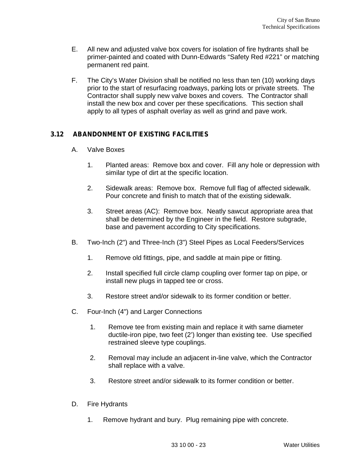- E. All new and adjusted valve box covers for isolation of fire hydrants shall be primer-painted and coated with Dunn-Edwards "Safety Red #221" or matching permanent red paint.
- F. The City's Water Division shall be notified no less than ten (10) working days prior to the start of resurfacing roadways, parking lots or private streets. The Contractor shall supply new valve boxes and covers. The Contractor shall install the new box and cover per these specifications. This section shall apply to all types of asphalt overlay as well as grind and pave work.

### **3.12 ABANDONMENT OF EXISTING FACILITIES**

- A. Valve Boxes
	- 1. Planted areas: Remove box and cover. Fill any hole or depression with similar type of dirt at the specific location.
	- 2. Sidewalk areas: Remove box. Remove full flag of affected sidewalk. Pour concrete and finish to match that of the existing sidewalk.
	- 3. Street areas (AC): Remove box. Neatly sawcut appropriate area that shall be determined by the Engineer in the field. Restore subgrade, base and pavement according to City specifications.
- B. Two-Inch (2") and Three-Inch (3") Steel Pipes as Local Feeders/Services
	- 1. Remove old fittings, pipe, and saddle at main pipe or fitting.
	- 2. Install specified full circle clamp coupling over former tap on pipe, or install new plugs in tapped tee or cross.
	- 3. Restore street and/or sidewalk to its former condition or better.
- C. Four-Inch (4") and Larger Connections
	- 1. Remove tee from existing main and replace it with same diameter ductile-iron pipe, two feet (2') longer than existing tee. Use specified restrained sleeve type couplings.
	- 2. Removal may include an adjacent in-line valve, which the Contractor shall replace with a valve.
	- 3. Restore street and/or sidewalk to its former condition or better.
- D. Fire Hydrants
	- 1. Remove hydrant and bury. Plug remaining pipe with concrete.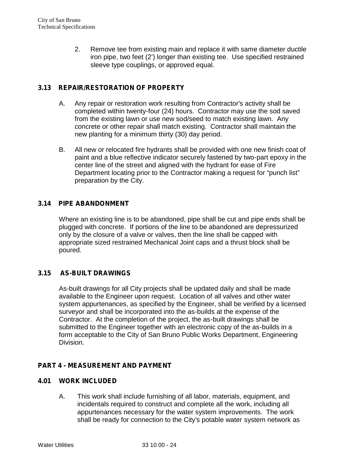2. Remove tee from existing main and replace it with same diameter ductile iron pipe, two feet (2') longer than existing tee. Use specified restrained sleeve type couplings, or approved equal.

## **3.13 REPAIR/RESTORATION OF PROPERTY**

- A. Any repair or restoration work resulting from Contractor's activity shall be completed within twenty-four (24) hours. Contractor may use the sod saved from the existing lawn or use new sod/seed to match existing lawn. Any concrete or other repair shall match existing. Contractor shall maintain the new planting for a minimum thirty (30) day period.
- B. All new or relocated fire hydrants shall be provided with one new finish coat of paint and a blue reflective indicator securely fastened by two-part epoxy in the center line of the street and aligned with the hydrant for ease of Fire Department locating prior to the Contractor making a request for "punch list" preparation by the City.

### **3.14 PIPE ABANDONMENT**

Where an existing line is to be abandoned, pipe shall be cut and pipe ends shall be plugged with concrete. If portions of the line to be abandoned are depressurized only by the closure of a valve or valves, then the line shall be capped with appropriate sized restrained Mechanical Joint caps and a thrust block shall be poured.

## **3.15 AS-BUILT DRAWINGS**

As-built drawings for all City projects shall be updated daily and shall be made available to the Engineer upon request. Location of all valves and other water system appurtenances, as specified by the Engineer, shall be verified by a licensed surveyor and shall be incorporated into the as-builds at the expense of the Contractor. At the completion of the project, the as-built drawings shall be submitted to the Engineer together with an electronic copy of the as-builds in a form acceptable to the City of San Bruno Public Works Department, Engineering Division.

### **PART 4 - MEASUREMENT AND PAYMENT**

### **4.01 WORK INCLUDED**

A. This work shall include furnishing of all labor, materials, equipment, and incidentals required to construct and complete all the work, including all appurtenances necessary for the water system improvements. The work shall be ready for connection to the City's potable water system network as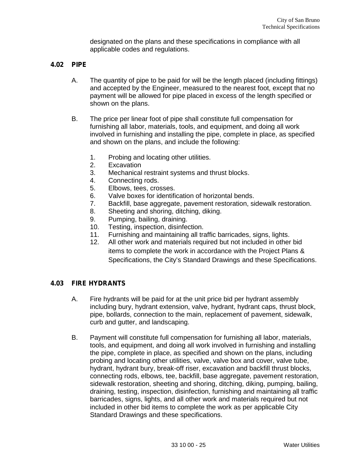designated on the plans and these specifications in compliance with all applicable codes and regulations.

### **4.02 PIPE**

- A. The quantity of pipe to be paid for will be the length placed (including fittings) and accepted by the Engineer, measured to the nearest foot, except that no payment will be allowed for pipe placed in excess of the length specified or shown on the plans.
- B. The price per linear foot of pipe shall constitute full compensation for furnishing all labor, materials, tools, and equipment, and doing all work involved in furnishing and installing the pipe, complete in place, as specified and shown on the plans, and include the following:
	- 1. Probing and locating other utilities.
	- 2. Excavation
	- 3. Mechanical restraint systems and thrust blocks.
	- 4. Connecting rods.
	- 5. Elbows, tees, crosses.
	- 6. Valve boxes for identification of horizontal bends.
	- 7. Backfill, base aggregate, pavement restoration, sidewalk restoration.
	- 8. Sheeting and shoring, ditching, diking.
	- 9. Pumping, bailing, draining.
	- 10. Testing, inspection, disinfection.
	- 11. Furnishing and maintaining all traffic barricades, signs, lights.
	- 12. All other work and materials required but not included in other bid items to complete the work in accordance with the Project Plans & Specifications, the City's Standard Drawings and these Specifications.

### **4.03 FIRE HYDRANTS**

- A. Fire hydrants will be paid for at the unit price bid per hydrant assembly including bury, hydrant extension, valve, hydrant, hydrant caps, thrust block, pipe, bollards, connection to the main, replacement of pavement, sidewalk, curb and gutter, and landscaping.
- B. Payment will constitute full compensation for furnishing all labor, materials, tools, and equipment, and doing all work involved in furnishing and installing the pipe, complete in place, as specified and shown on the plans, including probing and locating other utilities, valve, valve box and cover, valve tube, hydrant, hydrant bury, break-off riser, excavation and backfill thrust blocks, connecting rods, elbows, tee, backfill, base aggregate, pavement restoration, sidewalk restoration, sheeting and shoring, ditching, diking, pumping, bailing, draining, testing, inspection, disinfection, furnishing and maintaining all traffic barricades, signs, lights, and all other work and materials required but not included in other bid items to complete the work as per applicable City Standard Drawings and these specifications.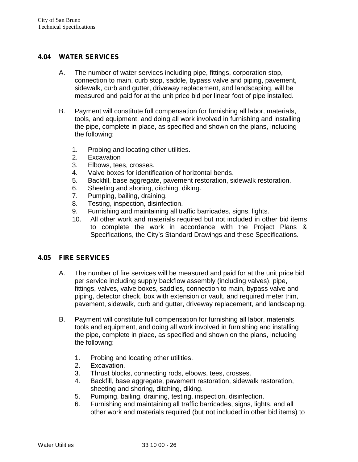### **4.04 WATER SERVICES**

- A. The number of water services including pipe, fittings, corporation stop, connection to main, curb stop, saddle, bypass valve and piping, pavement, sidewalk, curb and gutter, driveway replacement, and landscaping, will be measured and paid for at the unit price bid per linear foot of pipe installed.
- B. Payment will constitute full compensation for furnishing all labor, materials, tools, and equipment, and doing all work involved in furnishing and installing the pipe, complete in place, as specified and shown on the plans, including the following:
	- 1. Probing and locating other utilities.<br>2. Excavation
	- **Excavation**
	- 3. Elbows, tees, crosses.
	- 4. Valve boxes for identification of horizontal bends.
	- 5. Backfill, base aggregate, pavement restoration, sidewalk restoration.
	- 6. Sheeting and shoring, ditching, diking.
	- 7. Pumping, bailing, draining.
	- 8. Testing, inspection, disinfection.
	- 9. Furnishing and maintaining all traffic barricades, signs, lights.
	- 10. All other work and materials required but not included in other bid items to complete the work in accordance with the Project Plans & Specifications, the City's Standard Drawings and these Specifications.

### **4.05 FIRE SERVICES**

- A. The number of fire services will be measured and paid for at the unit price bid per service including supply backflow assembly (including valves), pipe, fittings, valves, valve boxes, saddles, connection to main, bypass valve and piping, detector check, box with extension or vault, and required meter trim, pavement, sidewalk, curb and gutter, driveway replacement, and landscaping.
- B. Payment will constitute full compensation for furnishing all labor, materials, tools and equipment, and doing all work involved in furnishing and installing the pipe, complete in place, as specified and shown on the plans, including the following:
	- 1. Probing and locating other utilities.<br>2. Excavation.
	- Excavation.
	- 3. Thrust blocks, connecting rods, elbows, tees, crosses.
	- 4. Backfill, base aggregate, pavement restoration, sidewalk restoration, sheeting and shoring, ditching, diking.
	- 5. Pumping, bailing, draining, testing, inspection, disinfection.
	- 6. Furnishing and maintaining all traffic barricades, signs, lights, and all other work and materials required (but not included in other bid items) to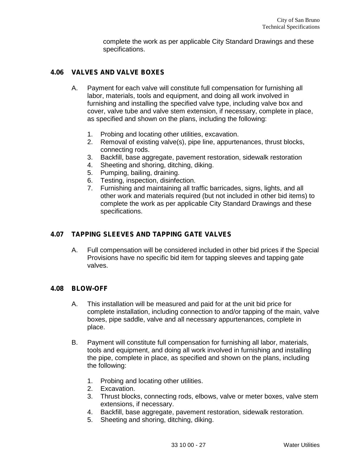complete the work as per applicable City Standard Drawings and these specifications.

### **4.06 VALVES AND VALVE BOXES**

- A. Payment for each valve will constitute full compensation for furnishing all labor, materials, tools and equipment, and doing all work involved in furnishing and installing the specified valve type, including valve box and cover, valve tube and valve stem extension, if necessary, complete in place, as specified and shown on the plans, including the following:
	- 1. Probing and locating other utilities, excavation.
	- 2. Removal of existing valve(s), pipe line, appurtenances, thrust blocks, connecting rods.
	- 3. Backfill, base aggregate, pavement restoration, sidewalk restoration
	- 4. Sheeting and shoring, ditching, diking.
	- 5. Pumping, bailing, draining.
	- 6. Testing, inspection, disinfection.
	- 7. Furnishing and maintaining all traffic barricades, signs, lights, and all other work and materials required (but not included in other bid items) to complete the work as per applicable City Standard Drawings and these specifications.

### **4.07 TAPPING SLEEVES AND TAPPING GATE VALVES**

A. Full compensation will be considered included in other bid prices if the Special Provisions have no specific bid item for tapping sleeves and tapping gate valves.

### **4.08 BLOW-OFF**

- A. This installation will be measured and paid for at the unit bid price for complete installation, including connection to and/or tapping of the main, valve boxes, pipe saddle, valve and all necessary appurtenances, complete in place.
- B. Payment will constitute full compensation for furnishing all labor, materials, tools and equipment, and doing all work involved in furnishing and installing the pipe, complete in place, as specified and shown on the plans, including the following:
	- 1. Probing and locating other utilities.
	- 2. Excavation.
	- 3. Thrust blocks, connecting rods, elbows, valve or meter boxes, valve stem extensions, if necessary.
	- 4. Backfill, base aggregate, pavement restoration, sidewalk restoration.
	- 5. Sheeting and shoring, ditching, diking.